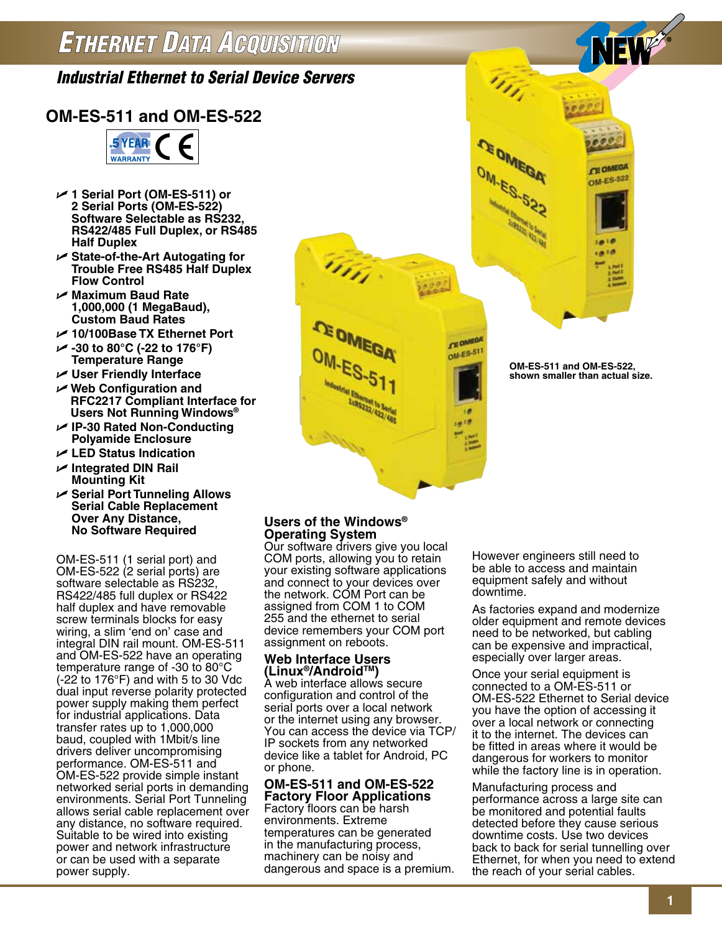# *Industrial Ethernet to Serial Device Servers*

## **OM-ES-511 and OM-ES-522**



- U **1 Serial Port (OM-ES-511) or 2 Serial Ports (OM-ES-522) Software Selectable as RS232, RS422/485 Full Duplex, or RS485 Half Duplex**
- U **State-of-the-Art Autogating for Trouble Free RS485 Half Duplex Flow Control**
- U **Maximum Baud Rate 1,000,000 (1 MegaBaud), Custom Baud Rates**
- U **10/100Base TX Ethernet Port**
- U **-30 to 80°C (-22 to 176°F) Temperature Range**
- U **User Friendly Interface**
- U **Web Configuration and RFC2217 Compliant Interface for Users Not Running Windows®**
- U **IP-30 Rated Non-Conducting Polyamide Enclosure**
- U **LED Status Indication**
- U **Integrated DIN Rail Mounting Kit**
- U **Serial Port Tunneling Allows Serial Cable Replacement Over Any Distance, No Software Required**

OM-ES-511 (1 serial port) and OM-ES-522 (2 serial ports) are software selectable as RS232, RS422/485 full duplex or RS422 half duplex and have removable screw terminals blocks for easy wiring, a slim 'end on' case and integral DIN rail mount. OM-ES-511 and OM-ES-522 have an operating temperature range of -30 to 80°C (-22 to 176°F) and with 5 to 30 Vdc dual input reverse polarity protected power supply making them perfect for industrial applications. Data transfer rates up to 1,000,000 baud, coupled with 1Mbit/s line drivers deliver uncompromising performance. OM-ES-511 and OM-ES-522 provide simple instant networked serial ports in demanding environments. Serial Port Tunneling allows serial cable replacement over any distance, no software required. Suitable to be wired into existing power and network infrastructure or can be used with a separate power supply.

#### **Users of the Windows® Operating System**

Our software drivers give you local COM ports, allowing you to retain your existing software applications and connect to your devices over the network. COM Port can be assigned from COM 1 to COM 255 and the ethernet to serial device remembers your COM port assignment on reboots.

This.

#### **Web Interface Users (Linux®/AndroidTM)**

A web interface allows secure configuration and control of the serial ports over a local network or the internet using any browser. You can access the device via TCP/ IP sockets from any networked device like a tablet for Android, PC or phone.

#### **OM-ES-511 and OM-ES-522 Factory Floor Applications**

Factory floors can be harsh environments. Extreme temperatures can be generated in the manufacturing process, machinery can be noisy and dangerous and space is a premium. However engineers still need to be able to access and maintain equipment safely and without downtime.

As factories expand and modernize older equipment and remote devices need to be networked, but cabling can be expensive and impractical, especially over larger areas.

Once your serial equipment is connected to a OM-ES-511 or OM-ES-522 Ethernet to Serial device you have the option of accessing it over a local network or connecting it to the internet. The devices can be fitted in areas where it would be dangerous for workers to monitor while the factory line is in operation.

Manufacturing process and performance across a large site can be monitored and potential faults detected before they cause serious downtime costs. Use two devices back to back for serial tunnelling over Ethernet, for when you need to extend the reach of your serial cables.

**OM-ES-511 and OM-ES-522, shown smaller than actual size.**

**CE OMEGA** 

**CEOMED OM-ES-51** 

EW

**CE OMEGA** OM-ES-522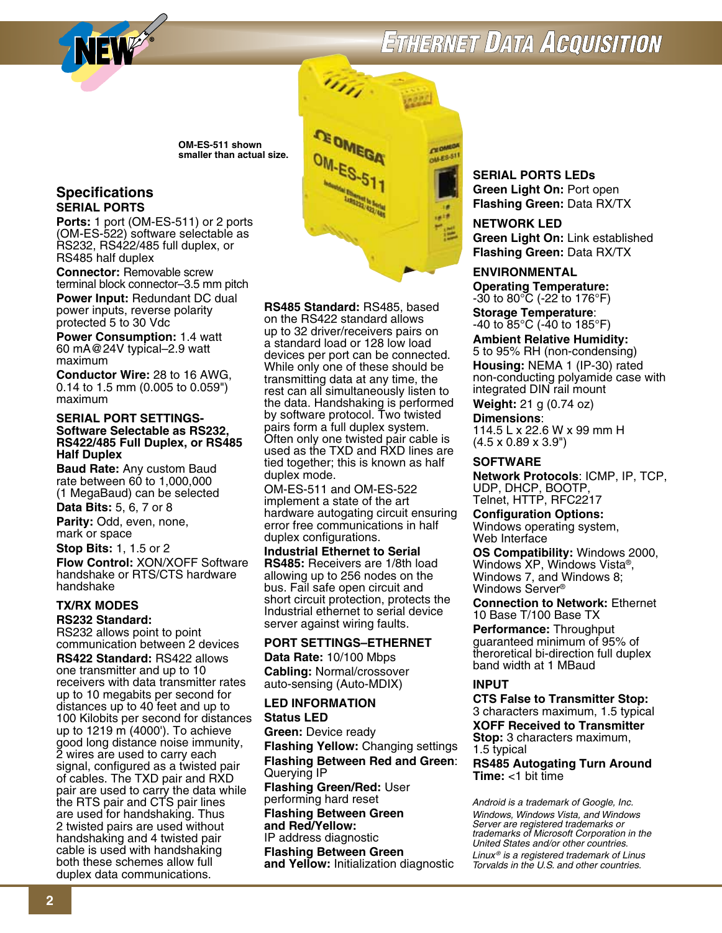

# **ETHERNET DATA ACQUISITION**

**OM-ES-511 shown smaller than actual size.**

#### **Specifications SERIAL PORTS**

**Ports:** 1 port (OM-ES-511) or 2 ports (OM-ES-522) software selectable as RS232, RS422/485 full duplex, or RS485 half duplex

**Connector:** Removable screw terminal block connector–3.5 mm pitch

**Power Input:** Redundant DC dual power inputs, reverse polarity protected 5 to 30 Vdc

**Power Consumption:** 1.4 watt 60 mA@24V typical–2.9 watt maximum

**Conductor Wire:** 28 to 16 AWG, 0.14 to 1.5 mm (0.005 to 0.059") maximum

#### **SERIAL PORT SETTINGS-Software Selectable as RS232, RS422/485 Full Duplex, or RS485 Half Duplex**

**Baud Rate:** Any custom Baud rate between 60 to 1,000,000 (1 MegaBaud) can be selected

**Data Bits:** 5, 6, 7 or 8

**Parity:** Odd, even, none, mark or space

**Stop Bits:** 1, 1.5 or 2

**Flow Control:** XON/XOFF Software handshake or RTS/CTS hardware handshake

#### **TX/RX Modes**

#### **RS232 Standard:**

RS232 allows point to point communication between 2 devices

**RS422 Standard:** RS422 allows one transmitter and up to 10 receivers with data transmitter rates up to 10 megabits per second for distances up to 40 feet and up to 100 Kilobits per second for distances up to 1219 m (4000'). To achieve good long distance noise immunity, 2 wires are used to carry each signal, configured as a twisted pair of cables. The TXD pair and RXD pair are used to carry the data while the RTS pair and CTS pair lines are used for handshaking. Thus 2 twisted pairs are used without handshaking and 4 twisted pair cable is used with handshaking both these schemes allow full duplex data communications.

m, **CEOME** OM-ES-51

**RS485 Standard:** RS485, based on the RS422 standard allows up to 32 driver/receivers pairs on a standard load or 128 low load devices per port can be connected. While only one of these should be transmitting data at any time, the rest can all simultaneously listen to the data. Handshaking is performed by software protocol. Two twisted pairs form a full duplex system. Often only one twisted pair cable is used as the TXD and RXD lines are tied together; this is known as half duplex mode.

OM-ES-511 and OM-ES-522 implement a state of the art hardware autogating circuit ensuring error free communications in half duplex configurations.

**Industrial Ethernet to Serial RS485:** Receivers are 1/8th load allowing up to 256 nodes on the bus. Fail safe open circuit and short circuit protection, protects the Industrial ethernet to serial device server against wiring faults.

#### **PORT SETTINGS–ETHERNET**

**Data Rate:** 10/100 Mbps **Cabling:** Normal/crossover auto-sensing (Auto-MDIX)

### **LED INFORMATION**

**Status LED Green:** Device ready

**Flashing Yellow:** Changing settings **Flashing Between Red and Green**: Querying IP **Flashing Green/Red:** User performing hard reset **Flashing Between Green and Red/Yellow:** IP address diagnostic **Flashing Between Green and Yellow:** Initialization diagnostic

**SERIAL PORTS LEDs Green Light On:** Port open **Flashing Green:** Data RX/TX

**NETWORK LED Green Light On:** Link established **Flashing Green:** Data RX/TX

### **ENVIRONMENTAL**

**Operating Temperature:**  $-30$  to  $80^{\circ}$ C ( $-22$  to 176 $^{\circ}$ F)

**Storage Temperature**: -40 to 85°C (-40 to 185°F)

**Ambient Relative Humidity:** 5 to 95% RH (non-condensing) **Housing:** NEMA 1 (IP-30) rated non-conducting polyamide case with integrated DIN rail mount

**Weight:** 21 g (0.74 oz)

**Dimensions**: 114.5 L x 22.6 W x 99 mm H (4.5 x 0.89 x 3.9")

#### **SOFTWARE**

**Network Protocols**: ICMP, IP, TCP, UDP, DHCP, BOOTP, Telnet, HTTP, RFC2217

**Configuration Options:** Windows operating system, Web Interface

**OS Compatibility:** Windows 2000, Windows XP, Windows Vista®, Windows 7, and Windows 8; Windows Server®

**Connection to Network:** Ethernet 10 Base T/100 Base TX

**Performance:** Throughput guaranteed minimum of 95% of theroretical bi-direction full duplex band width at 1 MBaud

#### **INPUT**

**CTS False to Transmitter Stop:** 3 characters maximum, 1.5 typical **XOFF Received to Transmitter Stop:** 3 characters maximum, 1.5 typical **RS485 Autogating Turn Around Time:** <1 bit time

*Android is a trademark of Google, Inc. Windows, Windows Vista, and Windows Server are registered trademarks or trademarks of Microsoft Corporation in the United States and/or other countries. Linux ® is a registered trademark of Linus Torvalds in the U.S. and other countries.*